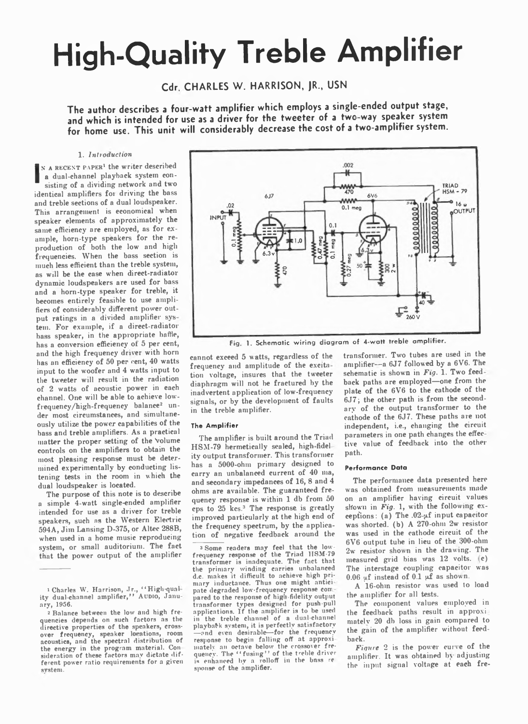# **High-Quality Treble Amplifier**

**Cdr CHARLES W. HARRISON, JR., USN**

The author describes a four-watt amplifier which employs a single-ended output stage, **and which is intended for use as a driver for the tweeter of a two way speaker system for home use. This unit will considerably decrease the cost of a two-amplifier system.**

# 1. *Inttoauction*

IN A RECENT PAPER<sup>1</sup> the writer described<br>
a dual-channel playback system consisting of a dividing network and two a dual-channel playback system consisting of a dividing network and two identical amplifiers for driving the bass and treble sections of a dual loudspeaker. This arrangement is economical when speaker elements of approximately the same efficiency are employed, as for example, horn-type speakers for the reproduction of both the low and high frequencies. When the bass section is much less efficient than the treble system, as will be the case when direct-radiator dynamic loudspeakers are used for bass and a horn-type speaker for treble, it becomes entirely feasible to use amplifiers of considerably different power output ratings in a divided amplifier sys tem. For example, if a direct-radiator bass speaker, in the appropriate baffle, has a conversion efficiency of 5 per cent, and the high frequency driver with horn has an efficiency of 50 per cent, 40 watts input to the woofer and 4 watts input to the tweeter will result in the radiation of 2 watts of acoustic power in each channel. One will be able to achieve lowfrequency/high-frequency balance<sup>2</sup> under most circumstances, and simultaneously utilize the power capabilities of the bass and treble amplifiers. As a practical matter the proper setting of the Volume controls on the amplifiers to obtain the most pleasing response must be determined experimentally by conducting listening tests in the room in which the dual loudspeaker is located.

The purpose of this note is to describe a simple 4-watt single-ended amplifier intended for use as a driver for treble speakers, such ns the Western Electric 594A, Jim Lansing D-375, or Altec 288B, when used in a home music reproducing system, or small auditorium. The fact that the power output of the amplifier



Fig. 1. Schematic wiring diagram of 4-watt treble amplifier.

cannot exceed 5 watts, regardless of the frequency and amplitude of the excitn tion voltage, insures that the tweeter diaphragm will not be fractured by the inadvertent application of low-frequency signals, or by the development of faults in the treble amplifier.

# **The Am plifier**

The amplifier is built around the Triad HSM-79 hermetically sealed, high-fidelity output transformer. This transformer has a 5000-ohm primary designed to carry an unbalanced current of 40 nia, and secondary impedances of 16, 8 and 4 ohms are available. The guaranteed frequency response is within 1 db from 50 cps to 25 kcs.3 The response is greatly improved particularly at the high end of the frequency spectrum, by the application of negative feedback around the

3 Some readers may feel that the low-frequency response of the Triad HSM-79 transformer is inadequate. The fact that the primary winding carries unbalanced d.c. makes it difficult to achieve high primary inductance. Thus one might antici pate' degraded low-frequency response com pared to the response of high fidelity output transformer types designed for push pull applications. If the amplifier is to be used in the treble channel of a dual-channel playback system, it is perfectly satisfactory -and even desirable—for the frequency response to begin falling off at approxi mately an octave below the crossover frequency. The ''fusing'' of the treble driver<br>is enhanced by a rolloff in the bnss re spouse of the amplifier.

transformer. Two tubes are used in the amplifier--a 6J7 followed by a 6V6. The schematic is shown in *Fig.* 1. Two feedback paths are employed— one from the plate of the 6V6 to the cathode of the 6J7; the other path is from the secondary of the output transformer to the cathode of the 6J7. These paths are not independent, i.e., changing the circuit parameters in one path changes the effec tive value of feedback into the other path.

# Performance Data

The performance data presented here was obtained from measurements made on an amplifier having circuit values shown in *Fig.* 1, with the following exceptions: (a) The .02-uf input capacitor was shorted, (b) A 270-ohm 2w resistor was used in the cathode circuit of the 6V6 output tube in lieu of the 300-ohm 2w resistor shown in the drawing. The measured grid bias was 12 volts. (e) The interstage coupling capacitor was 0.06  $\mu$ f instead of 0.1  $\mu$ f as shown.

A 16-ohin resistor was used to load the amplifier for all tests.

The component values employed in the feedback paths result in approxi matelv 20 db loss in gain compared to the gain of the amplifier without feedback.

*Figure* 2 is the power curve of the amplifier. It was obtained by adjusting the input signal voltage at each fre-

<sup>&</sup>lt;sup>1</sup> Charles W. Harrison, Jr., ''High<sub>'</sub>quality dual-channel amplifier," A upio, January, 1956.

<sup>2</sup> Balance between the low and high frequencies depends on such factors as the directive properties of the speakers, crossover frequency, speaker locations, room acoustics, and the spectral distribution of the energy in the program material. Con-<br>sideration of these factors may dictate different power ratio requirements for a given system.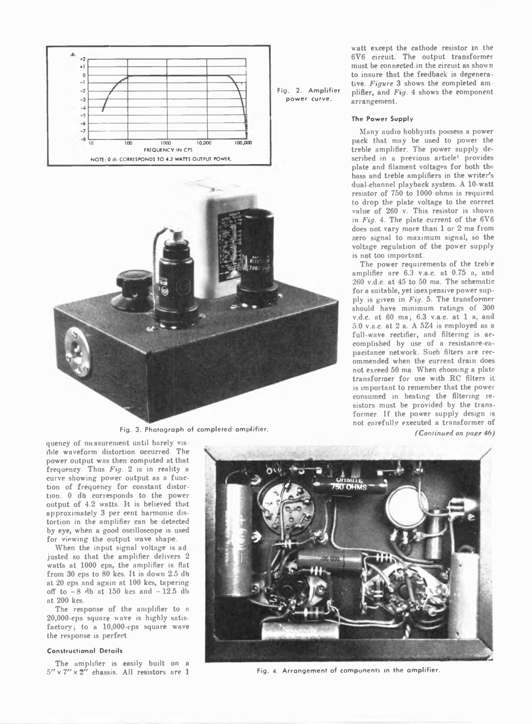



**Fig. 3. Photograph of completed am plifier.**

quency of measurement until barely vis ihle waveform distortion occurred. The power output was then computed at that frequency. Thus *Fig.* 2 is in reality a curve showing power output as a function of frequency for constant distortion. 0 db corresponds to the power output of 4.2 watts. It is believed that approximately 3 per cent harmonic distortion in the amplifier can be detected by eye, when a good oscilloscope is used for viewing the output wave shape.

When the input signal voltage is ad justed so that the amplifier delivers 2 watts at 1000 cps, the amplifier is flat from 30 cps to 80 kcs. It is down 2.5 db at 20 cps and again at 100 kcs, tapering off to  $-8$  db at 150 kcs and  $-12.5$  db at 200 kcs.

The response of the amplifier to a 20,000-cps square wave is highly satisfactory; to a 10,000-cps square wave the response is perfect.

# **Constructional Details**

The amplifier is easily built on a  $5'' \times 7'' \times 2''$  chassis. All resistors are 1 Fig. 4. Arrangement of components in the amplifier.

**Fig. 2. Am plifier power curve.**

watt except the cathode resistor in the 6V6 circuit. The output transformer must be connected in the circuit as shown to insure that the feedback is degenerative. *Figure* 3 shows the completed am plifier, and *Fig.* 4 shows the component arrangement.

# **The Power Supply**

Many audio hobbyists possess a power pack that may be used to power the treble amplifier. The power supply described in a previous article<sup>1</sup> provides plate and filament voltages for both the bass and treble amplifiers in the writer's dual channel playback system. A 10-watt resistor of 750 to 1000 ohms is required to drop the plate voltage to the correct value of 260 v. This resistor is shown in *Fig.* 4. The plate current of the 6V6 does not vary more than 1 or 2 ma from zero signal to maximum signal, so the voltage regulation of the power supply is not too important

The power requirements of the treble amplifier are 6.3 v.a.c. at 0.75 a, and 260 v.d.c. at 45 to 50 ma. The schematic for a suitable, yet inexpensive power supply is given in *Fig.* 5. The transformer should have minimum ratings of 300 v.d.c. at 60 ma; 6.3 v.a.c. at 1 a, and 5.0 v.a.c. at 2 a. A 5Z4 is employed as a full-wave rectifier, and filtering is accomplished by use of a resistance-capacitance network. Such filters are recommended when the current drain does not exceed 50 ma. When choosing a plate transformer for use with RC filters it is important to remember that the power consumed in heating the filtering resistors must be provided by the transformer. If the power supply design is not carefully executed a transformer of *( Continued on page 46)*